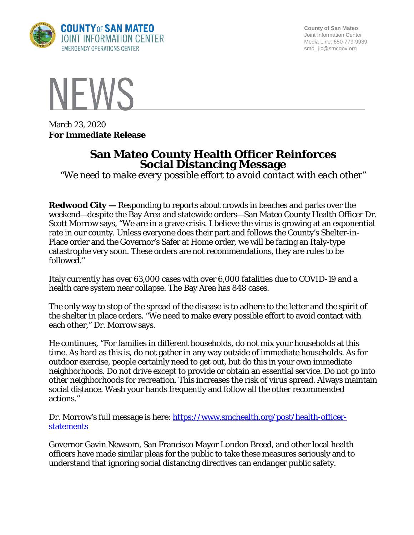

**County of San Mateo** Joint Information Center Media Line: 650-779-9939 smc\_ jic@smcgov.org



March 23, 2020 **For Immediate Release**

## **San Mateo County Health Officer Reinforces Social Distancing Message**

*"We need to make every possible effort to avoid contact with each other"*

**Redwood City —** Responding to reports about crowds in beaches and parks over the weekend—despite the Bay Area and statewide orders—San Mateo County Health Officer Dr. Scott Morrow says, "We are in a grave crisis. I believe the virus is growing at an exponential rate in our county. Unless everyone does their part and follows the County's Shelter-in-Place order and the Governor's Safer at Home order, we will be facing an Italy-type catastrophe very soon. These orders are not recommendations, they are rules to be followed."

Italy currently has over 63,000 cases with over 6,000 fatalities due to COVID-19 and a health care system near collapse. The Bay Area has 848 cases.

The only way to stop of the spread of the disease is to adhere to the letter and the spirit of the shelter in place orders. "We need to make every possible effort to avoid contact with each other," Dr. Morrow says.

He continues, "For families in different households, do not mix your households at this time. As hard as this is, do not gather in any way outside of immediate households. As for outdoor exercise, people certainly need to get out, but do this in your own immediate neighborhoods. Do not drive except to provide or obtain an essential service. Do not go into other neighborhoods for recreation. This increases the risk of virus spread. Always maintain social distance. Wash your hands frequently and follow all the other recommended actions."

Dr. Morrow's full message is here: [https://www.smchealth.org/post/health-officer](https://www.smchealth.org/post/health-officer-statements)**[statements](https://www.smchealth.org/post/health-officer-statements)** 

Governor Gavin Newsom, San Francisco Mayor London Breed, and other local health officers have made similar pleas for the public to take these measures seriously and to understand that ignoring social distancing directives can endanger public safety.